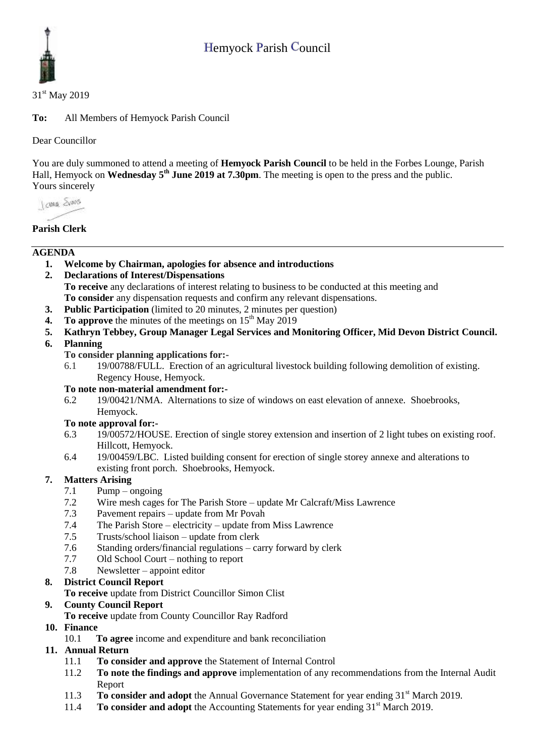# Hemyock Parish Council



#### 31<sup>st</sup> May 2019

**To:** All Members of Hemyock Parish Council

Dear Councillor

You are duly summoned to attend a meeting of **Hemyock Parish Council** to be held in the Forbes Lounge, Parish Hall, Hemyock on **Wednesday** 5<sup>th</sup> June 2019 at 7.30pm. The meeting is open to the press and the public. Yours sincerely

I awa Shans

#### **Parish Clerk**

#### **AGENDA**

- **1. Welcome by Chairman, apologies for absence and introductions**
- **2. Declarations of Interest/Dispensations To receive** any declarations of interest relating to business to be conducted at this meeting and **To consider** any dispensation requests and confirm any relevant dispensations.
- **3. Public Participation** (limited to 20 minutes, 2 minutes per question)
- **4. To approve** the minutes of the meetings on  $15<sup>th</sup>$  May  $2019$
- **5. Kathryn Tebbey, Group Manager Legal Services and Monitoring Officer, Mid Devon District Council.**
- **6. Planning**
	- **To consider planning applications for:-**
	- 6.1 19/00788/FULL. Erection of an agricultural livestock building following demolition of existing. Regency House, Hemyock.

#### **To note non-material amendment for:-**

6.2 19/00421/NMA. Alternations to size of windows on east elevation of annexe. Shoebrooks, Hemyock.

#### **To note approval for:-**

- 6.3 19/00572/HOUSE. Erection of single storey extension and insertion of 2 light tubes on existing roof. Hillcott, Hemyock.
- 6.4 19/00459/LBC. Listed building consent for erection of single storey annexe and alterations to existing front porch. Shoebrooks, Hemyock.

#### **7. Matters Arising**

- 7.1 Pump ongoing
- 7.2 Wire mesh cages for The Parish Store update Mr Calcraft/Miss Lawrence<br>7.3 Pavement repairs update from Mr Povah
- Pavement repairs update from Mr Povah
- 7.4 The Parish Store electricity update from Miss Lawrence
- 7.5 Trusts/school liaison update from clerk
- 7.6 Standing orders/financial regulations carry forward by clerk
- 7.7 Old School Court nothing to report
- 7.8 Newsletter appoint editor

#### **8. District Council Report**

**To receive** update from District Councillor Simon Clist

#### **9. County Council Report**

**To receive** update from County Councillor Ray Radford

**10. Finance** 

10.1 **To agree** income and expenditure and bank reconciliation

#### **11. Annual Return**

- 11.1 **To consider and approve** the Statement of Internal Control
- 11.2 **To note the findings and approve** implementation of any recommendations from the Internal Audit Report
- 11.3 **To consider and adopt** the Annual Governance Statement for year ending 31<sup>st</sup> March 2019.
- 11.4 **To consider and adopt** the Accounting Statements for year ending 31<sup>st</sup> March 2019.